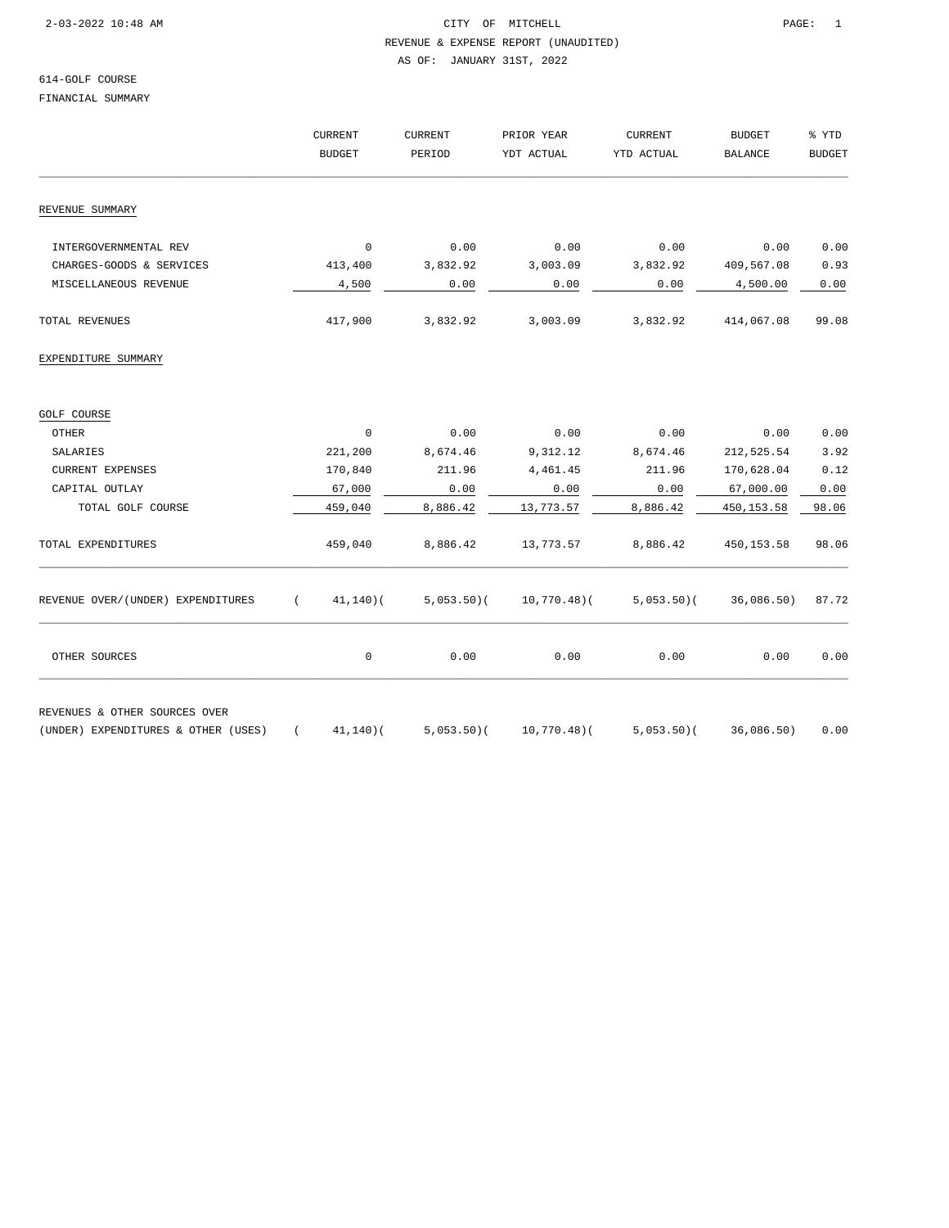### 2-03-2022 10:48 AM CITY OF MITCHELL PAGE: 1 REVENUE & EXPENSE REPORT (UNAUDITED)

AS OF: JANUARY 31ST, 2022

## 614-GOLF COURSE

FINANCIAL SUMMARY

|                                     | <b>CURRENT</b> |               | <b>CURRENT</b> | PRIOR YEAR  | <b>CURRENT</b>           | <b>BUDGET</b><br><b>BALANCE</b><br>0.00<br>409,567.08<br>4,500.00<br>414,067.08<br>0.00<br>212,525.54<br>170,628.04<br>67,000.00<br>450,153.58<br>450, 153.58<br>36,086.50)<br>0.00 | % YTD<br><b>BUDGET</b> |
|-------------------------------------|----------------|---------------|----------------|-------------|--------------------------|-------------------------------------------------------------------------------------------------------------------------------------------------------------------------------------|------------------------|
|                                     |                | <b>BUDGET</b> | PERIOD         | YDT ACTUAL  | YTD ACTUAL               |                                                                                                                                                                                     |                        |
| REVENUE SUMMARY                     |                |               |                |             |                          |                                                                                                                                                                                     |                        |
|                                     |                |               |                |             |                          |                                                                                                                                                                                     |                        |
| INTERGOVERNMENTAL REV               |                | $\mathbf 0$   | 0.00           | 0.00        | 0.00                     |                                                                                                                                                                                     | 0.00                   |
| CHARGES-GOODS & SERVICES            |                | 413,400       | 3,832.92       | 3,003.09    | 3,832.92                 |                                                                                                                                                                                     | 0.93                   |
| MISCELLANEOUS REVENUE               |                | 4,500         | 0.00           | 0.00        | 0.00                     |                                                                                                                                                                                     | 0.00                   |
| TOTAL REVENUES                      |                | 417,900       | 3,832.92       | 3,003.09    | 3,832.92                 |                                                                                                                                                                                     | 99.08                  |
| EXPENDITURE SUMMARY                 |                |               |                |             |                          |                                                                                                                                                                                     |                        |
| GOLF COURSE                         |                |               |                |             |                          |                                                                                                                                                                                     |                        |
| <b>OTHER</b>                        |                | $\mathbf 0$   | 0.00           | 0.00        | 0.00                     |                                                                                                                                                                                     | 0.00                   |
| SALARIES                            |                | 221,200       | 8,674.46       | 9,312.12    | 8,674.46                 |                                                                                                                                                                                     | 3.92                   |
| <b>CURRENT EXPENSES</b>             |                | 170,840       | 211.96         | 4,461.45    | 211.96                   |                                                                                                                                                                                     | 0.12                   |
| CAPITAL OUTLAY                      |                | 67,000        | 0.00           | 0.00        | 0.00                     |                                                                                                                                                                                     | 0.00                   |
| TOTAL GOLF COURSE                   |                | 459,040       | 8,886.42       | 13,773.57   | 8,886.42                 |                                                                                                                                                                                     | 98.06                  |
| TOTAL EXPENDITURES                  |                | 459,040       | 8,886.42       | 13,773.57   | 8,886.42                 |                                                                                                                                                                                     | 98.06                  |
| REVENUE OVER/(UNDER) EXPENDITURES   |                | (41, 140)     | $5,053.50$ (   |             | $10,770.48$ (5,053.50) ( |                                                                                                                                                                                     | 87.72                  |
| OTHER SOURCES                       |                | 0             | 0.00           | 0.00        | 0.00                     |                                                                                                                                                                                     | 0.00                   |
| REVENUES & OTHER SOURCES OVER       |                |               |                |             |                          |                                                                                                                                                                                     |                        |
| (UNDER) EXPENDITURES & OTHER (USES) | $\sqrt{2}$     | 41,140)(      | $5,053.50$ (   | 10,770.48)( | $5,053.50$ (             | 36,086.50)                                                                                                                                                                          | 0.00                   |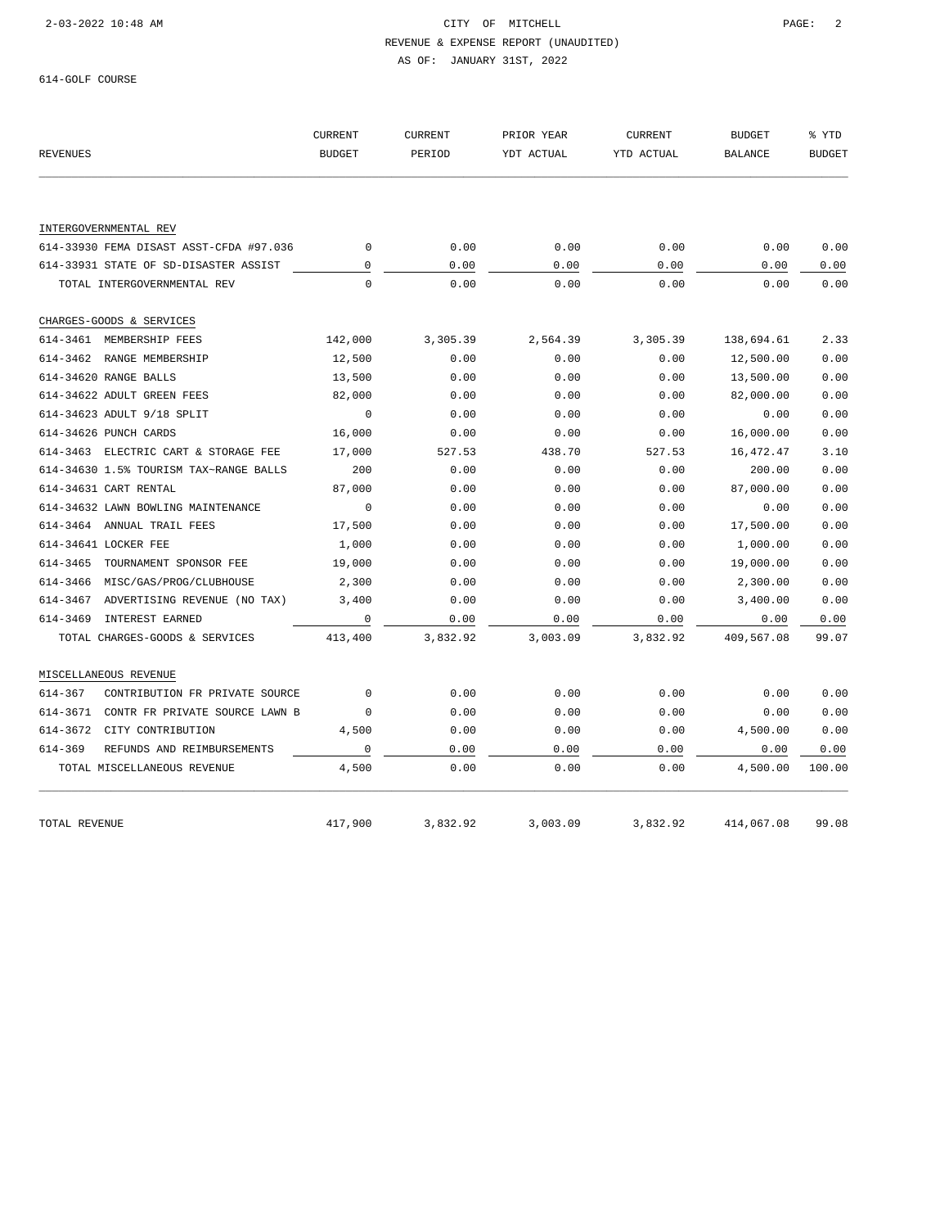### 2-03-2022 10:48 AM CITY OF MITCHELL PAGE: 2

#### REVENUE & EXPENSE REPORT (UNAUDITED)

AS OF: JANUARY 31ST, 2022

614-GOLF COURSE

| <b>REVENUES</b>                            | <b>CURRENT</b><br><b>BUDGET</b> | <b>CURRENT</b><br>PERIOD | PRIOR YEAR<br>YDT ACTUAL | <b>CURRENT</b><br>YTD ACTUAL | <b>BUDGET</b><br><b>BALANCE</b> | % YTD<br><b>BUDGET</b> |
|--------------------------------------------|---------------------------------|--------------------------|--------------------------|------------------------------|---------------------------------|------------------------|
|                                            |                                 |                          |                          |                              |                                 |                        |
| INTERGOVERNMENTAL REV                      |                                 |                          |                          |                              |                                 |                        |
| 614-33930 FEMA DISAST ASST-CFDA #97.036    | $\mathbf{0}$                    | 0.00                     | 0.00                     | 0.00                         | 0.00                            | 0.00                   |
| 614-33931 STATE OF SD-DISASTER ASSIST      | $\mathbf 0$                     | 0.00                     | 0.00                     | 0.00                         | 0.00                            | 0.00                   |
| TOTAL INTERGOVERNMENTAL REV                | $\Omega$                        | 0.00                     | 0.00                     | 0.00                         | 0.00                            | 0.00                   |
| CHARGES-GOODS & SERVICES                   |                                 |                          |                          |                              |                                 |                        |
| 614-3461 MEMBERSHIP FEES                   | 142,000                         | 3,305.39                 | 2,564.39                 | 3,305.39                     | 138,694.61                      | 2.33                   |
| 614-3462 RANGE MEMBERSHIP                  | 12,500                          | 0.00                     | 0.00                     | 0.00                         | 12,500.00                       | 0.00                   |
| 614-34620 RANGE BALLS                      | 13,500                          | 0.00                     | 0.00                     | 0.00                         | 13,500.00                       | 0.00                   |
| 614-34622 ADULT GREEN FEES                 | 82,000                          | 0.00                     | 0.00                     | 0.00                         | 82,000.00                       | 0.00                   |
| 614-34623 ADULT 9/18 SPLIT                 | $\mathbf 0$                     | 0.00                     | 0.00                     | 0.00                         | 0.00                            | 0.00                   |
| 614-34626 PUNCH CARDS                      | 16,000                          | 0.00                     | 0.00                     | 0.00                         | 16,000.00                       | 0.00                   |
| 614-3463 ELECTRIC CART & STORAGE FEE       | 17,000                          | 527.53                   | 438.70                   | 527.53                       | 16,472.47                       | 3.10                   |
| 614-34630 1.5% TOURISM TAX~RANGE BALLS     | 200                             | 0.00                     | 0.00                     | 0.00                         | 200.00                          | 0.00                   |
| 614-34631 CART RENTAL                      | 87,000                          | 0.00                     | 0.00                     | 0.00                         | 87,000.00                       | 0.00                   |
| 614-34632 LAWN BOWLING MAINTENANCE         | $\mathbf 0$                     | 0.00                     | 0.00                     | 0.00                         | 0.00                            | 0.00                   |
| 614-3464 ANNUAL TRAIL FEES                 | 17,500                          | 0.00                     | 0.00                     | 0.00                         | 17,500.00                       | 0.00                   |
| 614-34641 LOCKER FEE                       | 1,000                           | 0.00                     | 0.00                     | 0.00                         | 1,000.00                        | 0.00                   |
| 614-3465<br>TOURNAMENT SPONSOR FEE         | 19,000                          | 0.00                     | 0.00                     | 0.00                         | 19,000.00                       | 0.00                   |
| 614-3466<br>MISC/GAS/PROG/CLUBHOUSE        | 2,300                           | 0.00                     | 0.00                     | 0.00                         | 2,300.00                        | 0.00                   |
| 614-3467<br>ADVERTISING REVENUE (NO TAX)   | 3,400                           | 0.00                     | 0.00                     | 0.00                         | 3,400.00                        | 0.00                   |
| INTEREST EARNED<br>614-3469                | $\mathbf 0$                     | 0.00                     | 0.00                     | 0.00                         | 0.00                            | 0.00                   |
| TOTAL CHARGES-GOODS & SERVICES             | 413,400                         | 3,832.92                 | 3,003.09                 | 3,832.92                     | 409,567.08                      | 99.07                  |
| MISCELLANEOUS REVENUE                      |                                 |                          |                          |                              |                                 |                        |
| 614-367<br>CONTRIBUTION FR PRIVATE SOURCE  | $\Omega$                        | 0.00                     | 0.00                     | 0.00                         | 0.00                            | 0.00                   |
| CONTR FR PRIVATE SOURCE LAWN B<br>614-3671 | 0                               | 0.00                     | 0.00                     | 0.00                         | 0.00                            | 0.00                   |
| 614-3672<br>CITY CONTRIBUTION              | 4,500                           | 0.00                     | 0.00                     | 0.00                         | 4,500.00                        | 0.00                   |
| 614-369<br>REFUNDS AND REIMBURSEMENTS      | 0                               | 0.00                     | 0.00                     | 0.00                         | 0.00                            | 0.00                   |
| TOTAL MISCELLANEOUS REVENUE                | 4,500                           | 0.00                     | 0.00                     | 0.00                         | 4,500.00                        | 100.00                 |
|                                            |                                 |                          |                          |                              |                                 |                        |
| TOTAL REVENUE                              | 417,900                         | 3,832.92                 | 3,003.09                 | 3,832.92                     | 414,067.08                      | 99.08                  |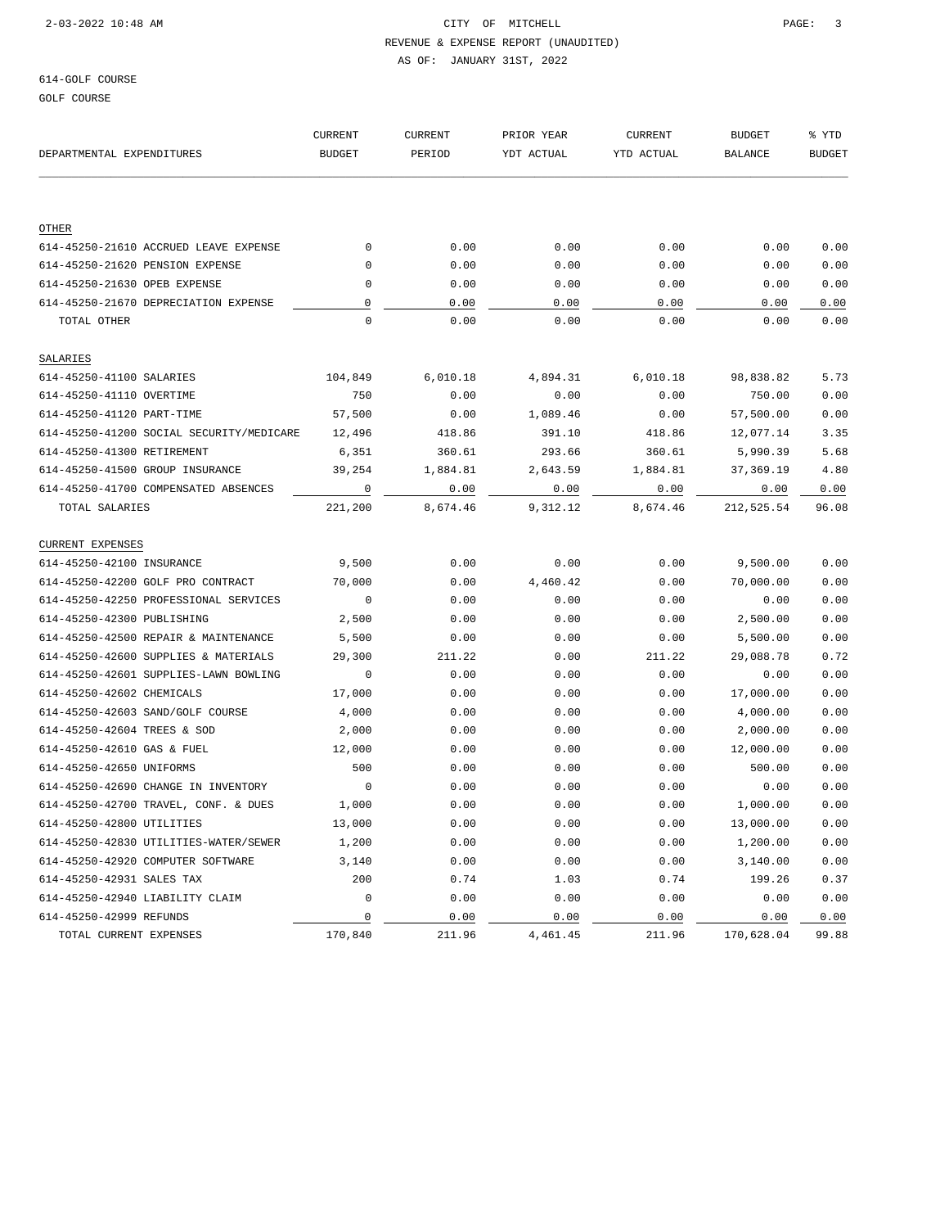# 2-03-2022 10:48 AM CITY OF MITCHELL PAGE: 3

### REVENUE & EXPENSE REPORT (UNAUDITED) AS OF: JANUARY 31ST, 2022

# 614-GOLF COURSE

GOLF COURSE

|                                          | <b>CURRENT</b> | <b>CURRENT</b> | PRIOR YEAR | <b>CURRENT</b> | <b>BUDGET</b>  | % YTD         |
|------------------------------------------|----------------|----------------|------------|----------------|----------------|---------------|
| DEPARTMENTAL EXPENDITURES                | <b>BUDGET</b>  | PERIOD         | YDT ACTUAL | YTD ACTUAL     | <b>BALANCE</b> | <b>BUDGET</b> |
|                                          |                |                |            |                |                |               |
| OTHER                                    |                |                |            |                |                |               |
| 614-45250-21610 ACCRUED LEAVE EXPENSE    | $\mathbf{0}$   | 0.00           | 0.00       | 0.00           | 0.00           | 0.00          |
| 614-45250-21620 PENSION EXPENSE          | 0              | 0.00           | 0.00       | 0.00           | 0.00           | 0.00          |
| 614-45250-21630 OPEB EXPENSE             | 0              | 0.00           | 0.00       | 0.00           | 0.00           | 0.00          |
| 614-45250-21670 DEPRECIATION EXPENSE     | 0              | 0.00           | 0.00       | 0.00           | 0.00           | 0.00          |
| TOTAL OTHER                              | $\Omega$       | 0.00           | 0.00       | 0.00           | 0.00           | 0.00          |
| SALARIES                                 |                |                |            |                |                |               |
| 614-45250-41100 SALARIES                 | 104,849        | 6,010.18       | 4,894.31   | 6,010.18       | 98,838.82      | 5.73          |
| 614-45250-41110 OVERTIME                 | 750            | 0.00           | 0.00       | 0.00           | 750.00         | 0.00          |
| 614-45250-41120 PART-TIME                | 57,500         | 0.00           | 1,089.46   | 0.00           | 57,500.00      | 0.00          |
| 614-45250-41200 SOCIAL SECURITY/MEDICARE | 12,496         | 418.86         | 391.10     | 418.86         | 12,077.14      | 3.35          |
| 614-45250-41300 RETIREMENT               | 6,351          | 360.61         | 293.66     | 360.61         | 5,990.39       | 5.68          |
| 614-45250-41500 GROUP INSURANCE          | 39,254         | 1,884.81       | 2,643.59   | 1,884.81       | 37,369.19      | 4.80          |
| 614-45250-41700 COMPENSATED ABSENCES     | $\mathbf 0$    | 0.00           | 0.00       | 0.00           | 0.00           | 0.00          |
| TOTAL SALARIES                           | 221,200        | 8,674.46       | 9,312.12   | 8,674.46       | 212,525.54     | 96.08         |
| <b>CURRENT EXPENSES</b>                  |                |                |            |                |                |               |
| 614-45250-42100 INSURANCE                | 9,500          | 0.00           | 0.00       | 0.00           | 9,500.00       | 0.00          |
| 614-45250-42200 GOLF PRO CONTRACT        | 70,000         | 0.00           | 4,460.42   | 0.00           | 70,000.00      | 0.00          |
| 614-45250-42250 PROFESSIONAL SERVICES    | $\mathbf{0}$   | 0.00           | 0.00       | 0.00           | 0.00           | 0.00          |
| 614-45250-42300 PUBLISHING               | 2,500          | 0.00           | 0.00       | 0.00           | 2,500.00       | 0.00          |
| 614-45250-42500 REPAIR & MAINTENANCE     | 5,500          | 0.00           | 0.00       | 0.00           | 5,500.00       | 0.00          |
| 614-45250-42600 SUPPLIES & MATERIALS     | 29,300         | 211.22         | 0.00       | 211.22         | 29,088.78      | 0.72          |
| 614-45250-42601 SUPPLIES-LAWN BOWLING    | $\mathbf 0$    | 0.00           | 0.00       | 0.00           | 0.00           | 0.00          |
| 614-45250-42602 CHEMICALS                | 17,000         | 0.00           | 0.00       | 0.00           | 17,000.00      | 0.00          |
| 614-45250-42603 SAND/GOLF COURSE         | 4,000          | 0.00           | 0.00       | 0.00           | 4,000.00       | 0.00          |
| 614-45250-42604 TREES & SOD              | 2,000          | 0.00           | 0.00       | 0.00           | 2,000.00       | 0.00          |
| 614-45250-42610 GAS & FUEL               | 12,000         | 0.00           | 0.00       | 0.00           | 12,000.00      | 0.00          |
| 614-45250-42650 UNIFORMS                 | 500            | 0.00           | 0.00       | 0.00           | 500.00         | 0.00          |
| 614-45250-42690 CHANGE IN INVENTORY      | $\overline{0}$ | 0.00           | 0.00       | 0.00           | 0.00           | 0.00          |
| 614-45250-42700 TRAVEL, CONF. & DUES     | 1,000          | 0.00           | 0.00       | 0.00           | 1,000.00       | 0.00          |
| 614-45250-42800 UTILITIES                | 13,000         | 0.00           | 0.00       | 0.00           | 13,000.00      | 0.00          |
| 614-45250-42830 UTILITIES-WATER/SEWER    | 1,200          | 0.00           | 0.00       | 0.00           | 1,200.00       | 0.00          |
| 614-45250-42920 COMPUTER SOFTWARE        | 3,140          | 0.00           | 0.00       | 0.00           | 3,140.00       | 0.00          |
| 614-45250-42931 SALES TAX                | 200            | 0.74           | 1.03       | 0.74           | 199.26         | 0.37          |
| 614-45250-42940 LIABILITY CLAIM          | 0              | 0.00           | 0.00       | 0.00           | 0.00           | 0.00          |
| 614-45250-42999 REFUNDS                  | $\mathsf 0$    | 0.00           | 0.00       | 0.00           | 0.00           | 0.00          |
| TOTAL CURRENT EXPENSES                   | 170,840        | 211.96         | 4,461.45   | 211.96         | 170,628.04     | 99.88         |